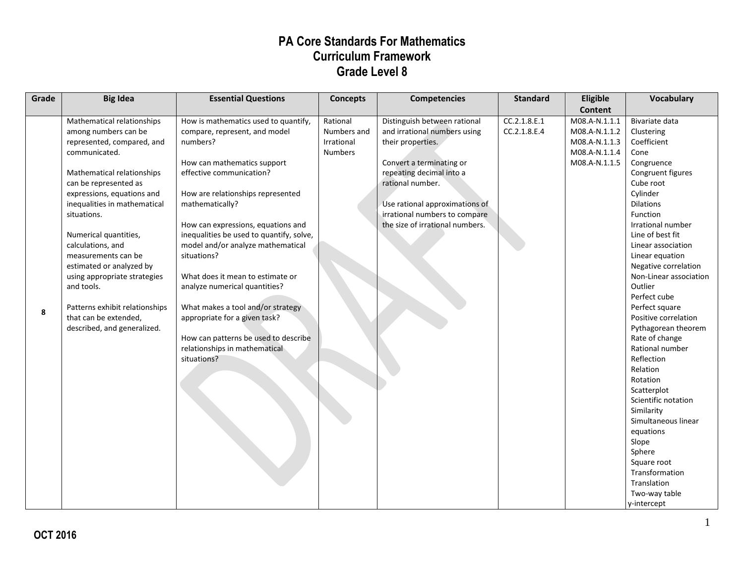| Grade | <b>Big Idea</b>                | <b>Essential Questions</b>               | <b>Concepts</b> | <b>Competencies</b>             | <b>Standard</b> | Eligible       | Vocabulary                         |
|-------|--------------------------------|------------------------------------------|-----------------|---------------------------------|-----------------|----------------|------------------------------------|
|       |                                |                                          |                 |                                 |                 | <b>Content</b> |                                    |
|       | Mathematical relationships     | How is mathematics used to quantify,     | Rational        | Distinguish between rational    | CC.2.1.8.E.1    | M08.A-N.1.1.1  | Bivariate data                     |
|       | among numbers can be           | compare, represent, and model            | Numbers and     | and irrational numbers using    | CC.2.1.8.E.4    | M08.A-N.1.1.2  | Clustering                         |
|       | represented, compared, and     | numbers?                                 | Irrational      | their properties.               |                 | M08.A-N.1.1.3  | Coefficient                        |
|       | communicated.                  |                                          | <b>Numbers</b>  |                                 |                 | M08.A-N.1.1.4  | Cone                               |
|       |                                | How can mathematics support              |                 | Convert a terminating or        |                 | M08.A-N.1.1.5  | Congruence                         |
|       | Mathematical relationships     | effective communication?                 |                 | repeating decimal into a        |                 |                | Congruent figures                  |
|       | can be represented as          |                                          |                 | rational number.                |                 |                | Cube root                          |
|       | expressions, equations and     | How are relationships represented        |                 |                                 |                 |                | Cylinder                           |
|       | inequalities in mathematical   | mathematically?                          |                 | Use rational approximations of  |                 |                | <b>Dilations</b>                   |
|       | situations.                    |                                          |                 | irrational numbers to compare   |                 |                | Function                           |
|       |                                | How can expressions, equations and       |                 | the size of irrational numbers. |                 |                | Irrational number                  |
|       | Numerical quantities,          | inequalities be used to quantify, solve, |                 |                                 |                 |                | Line of best fit                   |
|       | calculations, and              | model and/or analyze mathematical        |                 |                                 |                 |                | Linear association                 |
|       | measurements can be            | situations?                              |                 |                                 |                 |                | Linear equation                    |
|       | estimated or analyzed by       |                                          |                 |                                 |                 |                | Negative correlation               |
|       | using appropriate strategies   | What does it mean to estimate or         |                 |                                 |                 |                | Non-Linear association             |
|       | and tools.                     | analyze numerical quantities?            |                 |                                 |                 |                | Outlier                            |
|       |                                |                                          |                 |                                 |                 |                | Perfect cube                       |
| 8     | Patterns exhibit relationships | What makes a tool and/or strategy        |                 |                                 |                 |                | Perfect square                     |
|       | that can be extended,          | appropriate for a given task?            |                 |                                 |                 |                | Positive correlation               |
|       | described, and generalized.    |                                          |                 |                                 |                 |                | Pythagorean theorem                |
|       |                                | How can patterns be used to describe     |                 |                                 |                 |                | Rate of change                     |
|       |                                | relationships in mathematical            |                 |                                 |                 |                | Rational number                    |
|       |                                | situations?                              |                 |                                 |                 |                | Reflection                         |
|       |                                |                                          |                 |                                 |                 |                | Relation                           |
|       |                                |                                          |                 |                                 |                 |                | Rotation                           |
|       |                                |                                          |                 |                                 |                 |                | Scatterplot<br>Scientific notation |
|       |                                |                                          |                 |                                 |                 |                |                                    |
|       |                                |                                          |                 |                                 |                 |                | Similarity<br>Simultaneous linear  |
|       |                                |                                          |                 |                                 |                 |                |                                    |
|       |                                |                                          |                 |                                 |                 |                | equations<br>Slope                 |
|       |                                |                                          |                 |                                 |                 |                |                                    |
|       |                                |                                          |                 |                                 |                 |                | Sphere<br>Square root              |
|       |                                |                                          |                 |                                 |                 |                | Transformation                     |
|       |                                |                                          |                 |                                 |                 |                | Translation                        |
|       |                                |                                          |                 |                                 |                 |                | Two-way table                      |
|       |                                |                                          |                 |                                 |                 |                | y-intercept                        |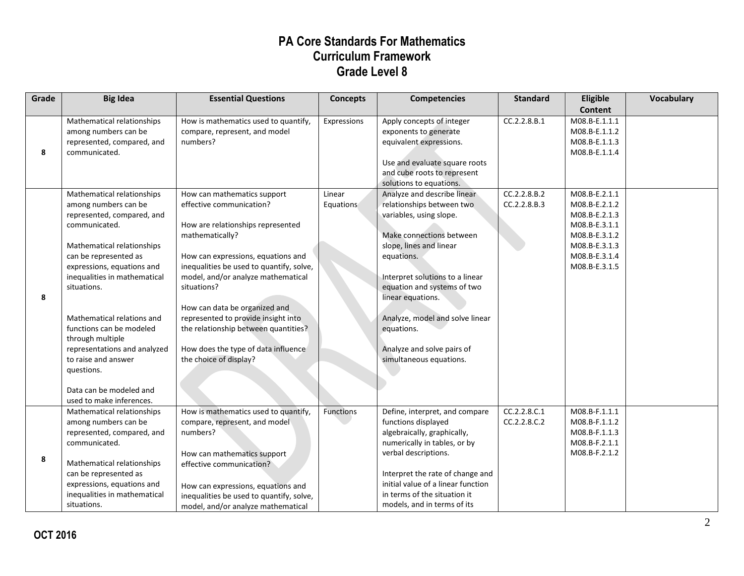| Grade | <b>Big Idea</b>                                                                                                                                                                                                                                                                                                                                                                                                                                 | <b>Essential Questions</b>                                                                                                                                                                                                                                                                                                                                                                                                              | <b>Concepts</b>     | <b>Competencies</b>                                                                                                                                                                                                                                                                                                                                       | <b>Standard</b>              | Eligible<br><b>Content</b>                                                                                                           | Vocabulary |
|-------|-------------------------------------------------------------------------------------------------------------------------------------------------------------------------------------------------------------------------------------------------------------------------------------------------------------------------------------------------------------------------------------------------------------------------------------------------|-----------------------------------------------------------------------------------------------------------------------------------------------------------------------------------------------------------------------------------------------------------------------------------------------------------------------------------------------------------------------------------------------------------------------------------------|---------------------|-----------------------------------------------------------------------------------------------------------------------------------------------------------------------------------------------------------------------------------------------------------------------------------------------------------------------------------------------------------|------------------------------|--------------------------------------------------------------------------------------------------------------------------------------|------------|
| 8     | Mathematical relationships<br>among numbers can be<br>represented, compared, and<br>communicated.                                                                                                                                                                                                                                                                                                                                               | How is mathematics used to quantify,<br>compare, represent, and model<br>numbers?                                                                                                                                                                                                                                                                                                                                                       | Expressions         | Apply concepts of integer<br>exponents to generate<br>equivalent expressions.<br>Use and evaluate square roots<br>and cube roots to represent<br>solutions to equations.                                                                                                                                                                                  | CC.2.2.8.B.1                 | M08.B-E.1.1.1<br>M08.B-E.1.1.2<br>M08.B-E.1.1.3<br>M08.B-E.1.1.4                                                                     |            |
| 8     | Mathematical relationships<br>among numbers can be<br>represented, compared, and<br>communicated.<br>Mathematical relationships<br>can be represented as<br>expressions, equations and<br>inequalities in mathematical<br>situations.<br>Mathematical relations and<br>functions can be modeled<br>through multiple<br>representations and analyzed<br>to raise and answer<br>questions.<br>Data can be modeled and<br>used to make inferences. | How can mathematics support<br>effective communication?<br>How are relationships represented<br>mathematically?<br>How can expressions, equations and<br>inequalities be used to quantify, solve,<br>model, and/or analyze mathematical<br>situations?<br>How can data be organized and<br>represented to provide insight into<br>the relationship between quantities?<br>How does the type of data influence<br>the choice of display? | Linear<br>Equations | Analyze and describe linear<br>relationships between two<br>variables, using slope.<br>Make connections between<br>slope, lines and linear<br>equations.<br>Interpret solutions to a linear<br>equation and systems of two<br>linear equations.<br>Analyze, model and solve linear<br>equations.<br>Analyze and solve pairs of<br>simultaneous equations. | CC.2.2.8.B.2<br>CC.2.2.8.B.3 | M08.B-E.2.1.1<br>M08.B-E.2.1.2<br>M08.B-E.2.1.3<br>M08.B-E.3.1.1<br>M08.B-E.3.1.2<br>M08.B-E.3.1.3<br>M08.B-E.3.1.4<br>M08.B-E.3.1.5 |            |
| 8     | Mathematical relationships<br>among numbers can be<br>represented, compared, and<br>communicated.<br>Mathematical relationships<br>can be represented as<br>expressions, equations and<br>inequalities in mathematical<br>situations.                                                                                                                                                                                                           | How is mathematics used to quantify,<br>compare, represent, and model<br>numbers?<br>How can mathematics support<br>effective communication?<br>How can expressions, equations and<br>inequalities be used to quantify, solve,<br>model, and/or analyze mathematical                                                                                                                                                                    | Functions           | Define, interpret, and compare<br>functions displayed<br>algebraically, graphically,<br>numerically in tables, or by<br>verbal descriptions.<br>Interpret the rate of change and<br>initial value of a linear function<br>in terms of the situation it<br>models, and in terms of its                                                                     | CC.2.2.8.C.1<br>CC.2.2.8.C.2 | M08.B-F.1.1.1<br>M08.B-F.1.1.2<br>M08.B-F.1.1.3<br>M08.B-F.2.1.1<br>M08.B-F.2.1.2                                                    |            |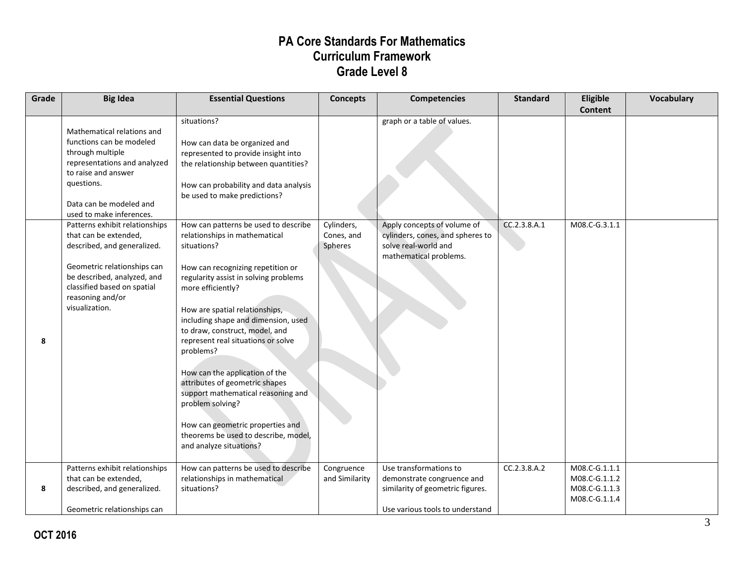| Grade | <b>Big Idea</b>                                                                                                                                                                                                           | <b>Essential Questions</b>                                                                                                                                                                                                                                                                                                                                                                                                                                                                                                                                                                 | <b>Concepts</b>                     | <b>Competencies</b>                                                                                                         | <b>Standard</b> | Eligible<br><b>Content</b>                                       | <b>Vocabulary</b> |
|-------|---------------------------------------------------------------------------------------------------------------------------------------------------------------------------------------------------------------------------|--------------------------------------------------------------------------------------------------------------------------------------------------------------------------------------------------------------------------------------------------------------------------------------------------------------------------------------------------------------------------------------------------------------------------------------------------------------------------------------------------------------------------------------------------------------------------------------------|-------------------------------------|-----------------------------------------------------------------------------------------------------------------------------|-----------------|------------------------------------------------------------------|-------------------|
|       | Mathematical relations and<br>functions can be modeled<br>through multiple<br>representations and analyzed<br>to raise and answer<br>questions.<br>Data can be modeled and<br>used to make inferences.                    | situations?<br>How can data be organized and<br>represented to provide insight into<br>the relationship between quantities?<br>How can probability and data analysis<br>be used to make predictions?                                                                                                                                                                                                                                                                                                                                                                                       |                                     | graph or a table of values.                                                                                                 |                 |                                                                  |                   |
| 8     | Patterns exhibit relationships<br>that can be extended,<br>described, and generalized.<br>Geometric relationships can<br>be described, analyzed, and<br>classified based on spatial<br>reasoning and/or<br>visualization. | How can patterns be used to describe<br>relationships in mathematical<br>situations?<br>How can recognizing repetition or<br>regularity assist in solving problems<br>more efficiently?<br>How are spatial relationships,<br>including shape and dimension, used<br>to draw, construct, model, and<br>represent real situations or solve<br>problems?<br>How can the application of the<br>attributes of geometric shapes<br>support mathematical reasoning and<br>problem solving?<br>How can geometric properties and<br>theorems be used to describe, model,<br>and analyze situations? | Cylinders,<br>Cones, and<br>Spheres | Apply concepts of volume of<br>cylinders, cones, and spheres to<br>solve real-world and<br>mathematical problems.           | CC.2.3.8.A.1    | M08.C-G.3.1.1                                                    |                   |
| 8     | Patterns exhibit relationships<br>that can be extended,<br>described, and generalized.<br>Geometric relationships can                                                                                                     | How can patterns be used to describe<br>relationships in mathematical<br>situations?                                                                                                                                                                                                                                                                                                                                                                                                                                                                                                       | Congruence<br>and Similarity        | Use transformations to<br>demonstrate congruence and<br>similarity of geometric figures.<br>Use various tools to understand | CC.2.3.8.A.2    | M08.C-G.1.1.1<br>M08.C-G.1.1.2<br>M08.C-G.1.1.3<br>M08.C-G.1.1.4 |                   |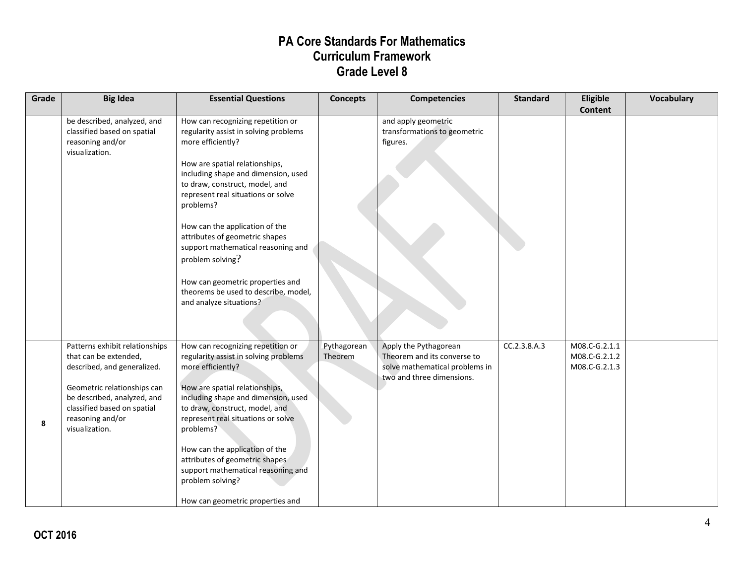| Grade | <b>Big Idea</b>                                                                                                                                                                                                           | <b>Essential Questions</b>                                                                                                                                                                                                                                                                                                                                                                                                                                                                         | <b>Concepts</b>        | <b>Competencies</b>                                                                                                 | <b>Standard</b> | Eligible<br><b>Content</b>                      | <b>Vocabulary</b> |
|-------|---------------------------------------------------------------------------------------------------------------------------------------------------------------------------------------------------------------------------|----------------------------------------------------------------------------------------------------------------------------------------------------------------------------------------------------------------------------------------------------------------------------------------------------------------------------------------------------------------------------------------------------------------------------------------------------------------------------------------------------|------------------------|---------------------------------------------------------------------------------------------------------------------|-----------------|-------------------------------------------------|-------------------|
|       | be described, analyzed, and<br>classified based on spatial<br>reasoning and/or<br>visualization.                                                                                                                          | How can recognizing repetition or<br>regularity assist in solving problems<br>more efficiently?<br>How are spatial relationships,<br>including shape and dimension, used<br>to draw, construct, model, and<br>represent real situations or solve<br>problems?<br>How can the application of the<br>attributes of geometric shapes<br>support mathematical reasoning and<br>problem solving?<br>How can geometric properties and<br>theorems be used to describe, model,<br>and analyze situations? |                        | and apply geometric<br>transformations to geometric<br>figures.                                                     |                 |                                                 |                   |
| 8     | Patterns exhibit relationships<br>that can be extended,<br>described, and generalized.<br>Geometric relationships can<br>be described, analyzed, and<br>classified based on spatial<br>reasoning and/or<br>visualization. | How can recognizing repetition or<br>regularity assist in solving problems<br>more efficiently?<br>How are spatial relationships,<br>including shape and dimension, used<br>to draw, construct, model, and<br>represent real situations or solve<br>problems?<br>How can the application of the<br>attributes of geometric shapes<br>support mathematical reasoning and<br>problem solving?<br>How can geometric properties and                                                                    | Pythagorean<br>Theorem | Apply the Pythagorean<br>Theorem and its converse to<br>solve mathematical problems in<br>two and three dimensions. | CC.2.3.8.A.3    | M08.C-G.2.1.1<br>M08.C-G.2.1.2<br>M08.C-G.2.1.3 |                   |